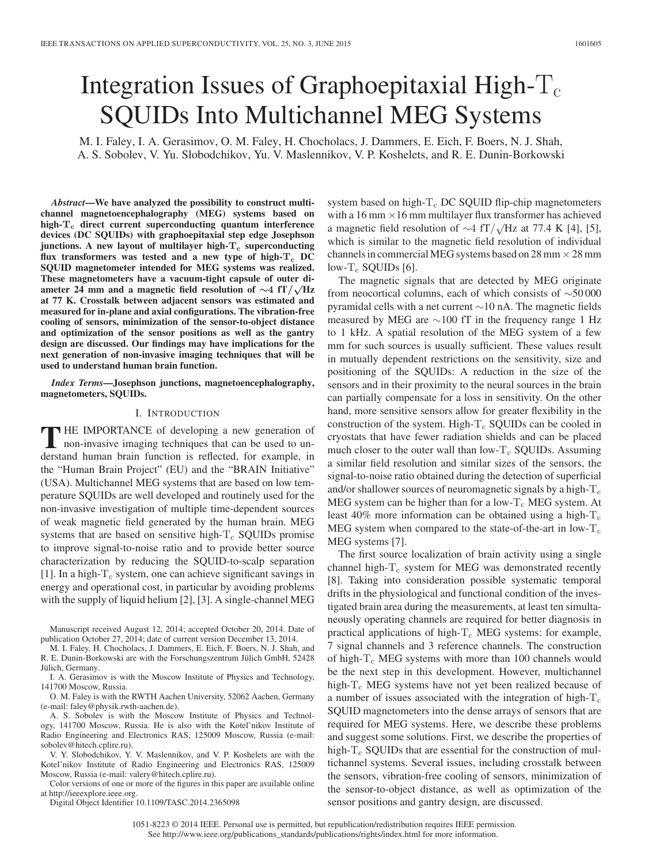# Integration Issues of Graphoepitaxial High- $T_c$ SQUIDs Into Multichannel MEG Systems

M. I. Faley, I. A. Gerasimov, O. M. Faley, H. Chocholacs, J. Dammers, E. Eich, F. Boers, N. J. Shah, A. S. Sobolev, V. Yu. Slobodchikov, Yu. V. Maslennikov, V. P. Koshelets, and R. E. Dunin-Borkowski

*Abstract***—We have analyzed the possibility to construct multichannel magnetoencephalography (MEG) systems based on high-T<sup>c</sup> direct current superconducting quantum interference devices (DC SQUIDs) with graphoepitaxial step edge Josephson junctions. A new layout of multilayer high-T<sup>c</sup> superconducting flux transformers was tested and a new type of high-T<sup>c</sup> DC SQUID magnetometer intended for MEG systems was realized. These magnetometers have a vacuum-tight capsule of outer diameter 24 mm and a magnetic field resolution of** *∼***4 fT***/ √***Hz at 77 K. Crosstalk between adjacent sensors was estimated and measured for in-plane and axial configurations. The vibration-free cooling of sensors, minimization of the sensor-to-object distance and optimization of the sensor positions as well as the gantry design are discussed. Our findings may have implications for the next generation of non-invasive imaging techniques that will be used to understand human brain function.**

*Index Terms***—Josephson junctions, magnetoencephalography, magnetometers, SQUIDs.**

#### I. INTRODUCTION

**T** HE IMPORTANCE of developing a new generation of non-invasive imaging techniques that can be used to understand human brain function is reflected, for example, in the "Human Brain Project" (EU) and the "BRAIN Initiative" (USA). Multichannel MEG systems that are based on low temperature SQUIDs are well developed and routinely used for the non-invasive investigation of multiple time-dependent sources of weak magnetic field generated by the human brain. MEG systems that are based on sensitive high- $T_c$  SQUIDs promise to improve signal-to-noise ratio and to provide better source characterization by reducing the SQUID-to-scalp separation [1]. In a high- $T_c$  system, one can achieve significant savings in energy and operational cost, in particular by avoiding problems with the supply of liquid helium [2], [3]. A single-channel MEG

Manuscript received August 12, 2014; accepted October 20, 2014. Date of publication October 27, 2014; date of current version December 13, 2014.

M. I. Faley, H. Chocholacs, J. Dammers, E. Eich, F. Boers, N. J. Shah, and R. E. Dunin-Borkowski are with the Forschungszentrum Jülich GmbH, 52428 Jülich, Germany.

I. A. Gerasimov is with the Moscow Institute of Physics and Technology, 141700 Moscow, Russia.

O. M. Faley is with the RWTH Aachen University, 52062 Aachen, Germany (e-mail: faley@physik.rwth-aachen.de).

A. S. Sobolev is with the Moscow Institute of Physics and Technology, 141700 Moscow, Russia. He is also with the Kotel'nikov Institute of Radio Engineering and Electronics RAS, 125009 Moscow, Russia (e-mail: sobolev@hitech.cplire.ru).

V. Y. Slobodchikov, Y. V. Maslennikov, and V. P. Koshelets are with the Kotel'nikov Institute of Radio Engineering and Electronics RAS, 125009 Moscow, Russia (e-mail: valery@hitech.cplire.ru).

Color versions of one or more of the figures in this paper are available online at http://ieeexplore.ieee.org.

Digital Object Identifier 10.1109/TASC.2014.2365098

system based on high- $T_c$  DC SQUID flip-chip magnetometers with a 16 mm  $\times$  16 mm multilayer flux transformer has achieved a magnetic field resolution of  $\sim$ 4 fT/ $\sqrt{Hz}$  at 77.4 K [4], [5], which is similar to the magnetic field resolution of individual channels in commercial MEG systems based on  $28 \text{ mm} \times 28 \text{ mm}$  $low-T_c$  SOUIDs [6].

The magnetic signals that are detected by MEG originate from neocortical columns, each of which consists of ∼50 000 pyramidal cells with a net current ∼10 nA. The magnetic fields measured by MEG are ∼100 fT in the frequency range 1 Hz to 1 kHz. A spatial resolution of the MEG system of a few mm for such sources is usually sufficient. These values result in mutually dependent restrictions on the sensitivity, size and positioning of the SQUIDs: A reduction in the size of the sensors and in their proximity to the neural sources in the brain can partially compensate for a loss in sensitivity. On the other hand, more sensitive sensors allow for greater flexibility in the construction of the system. High- $T_c$  SQUIDs can be cooled in cryostats that have fewer radiation shields and can be placed much closer to the outer wall than low- $T_c$  SQUIDs. Assuming a similar field resolution and similar sizes of the sensors, the signal-to-noise ratio obtained during the detection of superficial and/or shallower sources of neuromagnetic signals by a high- $T_c$ MEG system can be higher than for a low- $T_c$  MEG system. At least 40% more information can be obtained using a high- $T_c$ MEG system when compared to the state-of-the-art in low- $T_c$ MEG systems [7].

The first source localization of brain activity using a single channel high- $T_c$  system for MEG was demonstrated recently [8]. Taking into consideration possible systematic temporal drifts in the physiological and functional condition of the investigated brain area during the measurements, at least ten simultaneously operating channels are required for better diagnosis in practical applications of high- $T_c$  MEG systems: for example, 7 signal channels and 3 reference channels. The construction of high- $T_c$  MEG systems with more than 100 channels would be the next step in this development. However, multichannel high- $T_c$  MEG systems have not yet been realized because of a number of issues associated with the integration of high- $T_c$ SQUID magnetometers into the dense arrays of sensors that are required for MEG systems. Here, we describe these problems and suggest some solutions. First, we describe the properties of high- $T_c$  SQUIDs that are essential for the construction of multichannel systems. Several issues, including crosstalk between the sensors, vibration-free cooling of sensors, minimization of the sensor-to-object distance, as well as optimization of the sensor positions and gantry design, are discussed.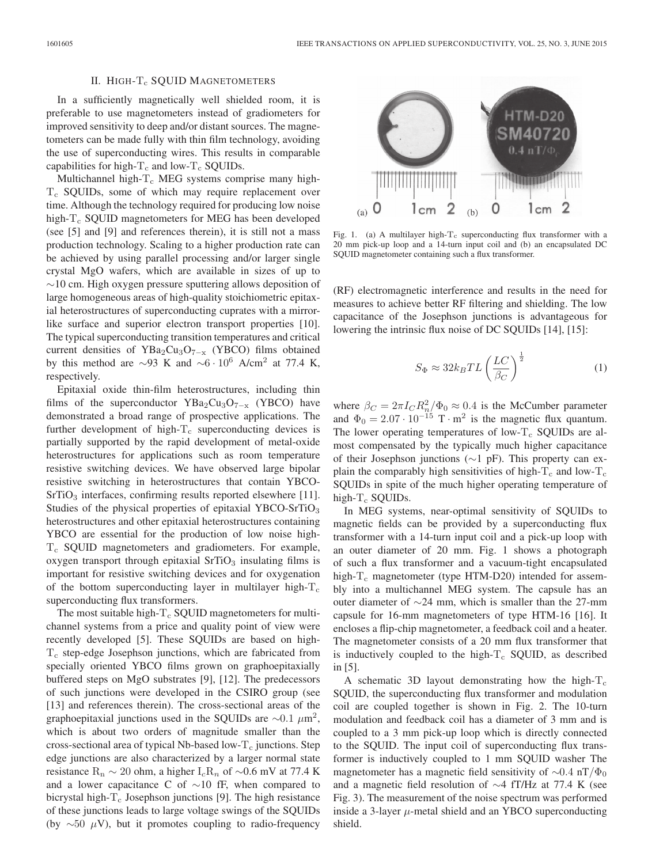## II. HIGH-T<sub>c</sub> SQUID MAGNETOMETERS

In a sufficiently magnetically well shielded room, it is preferable to use magnetometers instead of gradiometers for improved sensitivity to deep and/or distant sources. The magnetometers can be made fully with thin film technology, avoiding the use of superconducting wires. This results in comparable capabilities for high- $T_c$  and low- $T_c$  SQUIDs.

Multichannel high- $T_c$  MEG systems comprise many high-T<sub>c</sub> SQUIDs, some of which may require replacement over time. Although the technology required for producing low noise high-T<sub>c</sub> SQUID magnetometers for MEG has been developed (see [5] and [9] and references therein), it is still not a mass production technology. Scaling to a higher production rate can be achieved by using parallel processing and/or larger single crystal MgO wafers, which are available in sizes of up to  $\sim$ 10 cm. High oxygen pressure sputtering allows deposition of large homogeneous areas of high-quality stoichiometric epitaxial heterostructures of superconducting cuprates with a mirrorlike surface and superior electron transport properties [10]. The typical superconducting transition temperatures and critical current densities of YBa<sub>2</sub>Cu<sub>3</sub>O<sub>7−x</sub> (YBCO) films obtained by this method are ∼93 K and ∼6 · 10<sup>6</sup> A/cm<sup>2</sup> at 77.4 K, respectively.

Epitaxial oxide thin-film heterostructures, including thin films of the superconductor  $YBa_2Cu_3O_{7-x}$  (YBCO) have demonstrated a broad range of prospective applications. The further development of high- $T_c$  superconducting devices is partially supported by the rapid development of metal-oxide heterostructures for applications such as room temperature resistive switching devices. We have observed large bipolar resistive switching in heterostructures that contain YBCO- $SrTiO<sub>3</sub>$  interfaces, confirming results reported elsewhere [11]. Studies of the physical properties of epitaxial YBCO-SrTiO<sub>3</sub> heterostructures and other epitaxial heterostructures containing YBCO are essential for the production of low noise high-T<sub>c</sub> SQUID magnetometers and gradiometers. For example, oxygen transport through epitaxial  $SrTiO<sub>3</sub>$  insulating films is important for resistive switching devices and for oxygenation of the bottom superconducting layer in multilayer high- $T_c$ superconducting flux transformers.

The most suitable high- $T_c$  SQUID magnetometers for multichannel systems from a price and quality point of view were recently developed [5]. These SQUIDs are based on high-T<sub>c</sub> step-edge Josephson junctions, which are fabricated from specially oriented YBCO films grown on graphoepitaxially buffered steps on MgO substrates [9], [12]. The predecessors of such junctions were developed in the CSIRO group (see [13] and references therein). The cross-sectional areas of the graphoepitaxial junctions used in the SQUIDs are  $\sim 0.1 \ \mu \text{m}^2$ , which is about two orders of magnitude smaller than the cross-sectional area of typical Nb-based low- $T_c$  junctions. Step edge junctions are also characterized by a larger normal state resistance R<sub>n</sub>  $\sim$  20 ohm, a higher I<sub>c</sub>R<sub>n</sub> of ~0.6 mV at 77.4 K and a lower capacitance C of  $\sim$ 10 fF, when compared to bicrystal high- $T_c$  Josephson junctions [9]. The high resistance of these junctions leads to large voltage swings of the SQUIDs (by  $\sim 50 \mu V$ ), but it promotes coupling to radio-frequency



Fig. 1. (a) A multilayer high- $T_c$  superconducting flux transformer with a 20 mm pick-up loop and a 14-turn input coil and (b) an encapsulated DC SQUID magnetometer containing such a flux transformer.

(RF) electromagnetic interference and results in the need for measures to achieve better RF filtering and shielding. The low capacitance of the Josephson junctions is advantageous for lowering the intrinsic flux noise of DC SQUIDs [14], [15]:

$$
S_{\Phi} \approx 32k_B T L \left(\frac{LC}{\beta_C}\right)^{\frac{1}{2}}\tag{1}
$$

where  $\beta_C = 2\pi I_C R_n^2 / \Phi_0 \approx 0.4$  is the McCumber parameter and  $\Phi_0 = 2.07 \cdot 10^{-15}$  T · m<sup>2</sup> is the magnetic flux quantum. The lower operating temperatures of low- $T_c$  SQUIDs are almost compensated by the typically much higher capacitance of their Josephson junctions (∼1 pF). This property can explain the comparably high sensitivities of high- $T_c$  and low- $T_c$ SQUIDs in spite of the much higher operating temperature of high- $T_c$  SQUIDs.

In MEG systems, near-optimal sensitivity of SQUIDs to magnetic fields can be provided by a superconducting flux transformer with a 14-turn input coil and a pick-up loop with an outer diameter of 20 mm. Fig. 1 shows a photograph of such a flux transformer and a vacuum-tight encapsulated high- $T_c$  magnetometer (type HTM-D20) intended for assembly into a multichannel MEG system. The capsule has an outer diameter of ∼24 mm, which is smaller than the 27-mm capsule for 16-mm magnetometers of type HTM-16 [16]. It encloses a flip-chip magnetometer, a feedback coil and a heater. The magnetometer consists of a 20 mm flux transformer that is inductively coupled to the high- $T_c$  SQUID, as described in [5].

A schematic 3D layout demonstrating how the high- $T_c$ SQUID, the superconducting flux transformer and modulation coil are coupled together is shown in Fig. 2. The 10-turn modulation and feedback coil has a diameter of 3 mm and is coupled to a 3 mm pick-up loop which is directly connected to the SQUID. The input coil of superconducting flux transformer is inductively coupled to 1 mm SQUID washer The magnetometer has a magnetic field sensitivity of  $\sim 0.4 \text{ nT}/\Phi_0$ and a magnetic field resolution of ∼4 fT/Hz at 77.4 K (see Fig. 3). The measurement of the noise spectrum was performed inside a 3-layer  $\mu$ -metal shield and an YBCO superconducting shield.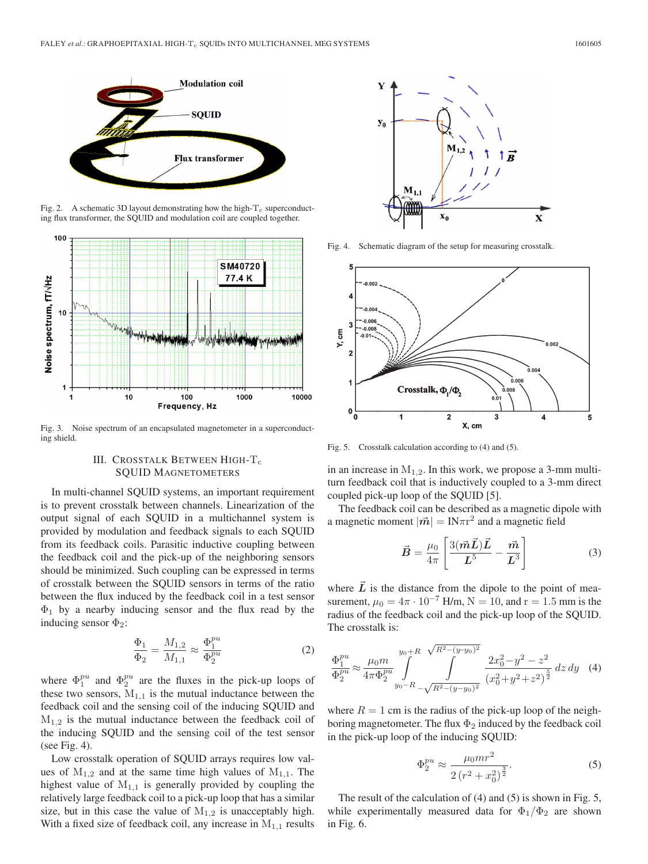

Fig. 2. A schematic 3D layout demonstrating how the high- $T_c$  superconducting flux transformer, the SQUID and modulation coil are coupled together.



Fig. 3. Noise spectrum of an encapsulated magnetometer in a superconducting shield.

## III. CROSSTALK BETWEEN HIGH-T<sub>c</sub> SQUID MAGNETOMETERS

In multi-channel SQUID systems, an important requirement is to prevent crosstalk between channels. Linearization of the output signal of each SQUID in a multichannel system is provided by modulation and feedback signals to each SQUID from its feedback coils. Parasitic inductive coupling between the feedback coil and the pick-up of the neighboring sensors should be minimized. Such coupling can be expressed in terms of crosstalk between the SQUID sensors in terms of the ratio between the flux induced by the feedback coil in a test sensor  $\Phi_1$  by a nearby inducing sensor and the flux read by the inducing sensor  $\Phi_2$ :

$$
\frac{\Phi_1}{\Phi_2} = \frac{M_{1,2}}{M_{1,1}} \approx \frac{\Phi_1^{pu}}{\Phi_2^{pu}}
$$
 (2)

where  $\Phi_1^{pu}$  and  $\Phi_2^{pu}$  are the fluxes in the pick-up loops of these two sensors,  $M_{1,1}$  is the mutual inductance between the feedback coil and the sensing coil of the inducing SQUID and  $M_{1,2}$  is the mutual inductance between the feedback coil of the inducing SQUID and the sensing coil of the test sensor (see Fig. 4).

Low crosstalk operation of SQUID arrays requires low values of  $M_{1,2}$  and at the same time high values of  $M_{1,1}$ . The highest value of  $M_{1,1}$  is generally provided by coupling the relatively large feedback coil to a pick-up loop that has a similar size, but in this case the value of  $M<sub>1,2</sub>$  is unacceptably high. With a fixed size of feedback coil, any increase in  $M_{1,1}$  results



Fig. 4. Schematic diagram of the setup for measuring crosstalk.



Fig. 5. Crosstalk calculation according to (4) and (5).

in an increase in  $M_{1,2}$ . In this work, we propose a 3-mm multiturn feedback coil that is inductively coupled to a 3-mm direct coupled pick-up loop of the SQUID [5].

The feedback coil can be described as a magnetic dipole with a magnetic moment  $|\vec{m}| = \text{IN} \pi r^2$  and a magnetic field

$$
\vec{B} = \frac{\mu_0}{4\pi} \left[ \frac{3(\vec{m}\vec{L})\vec{L}}{L^5} - \frac{\vec{m}}{L^3} \right]
$$
(3)

where  $\vec{L}$  is the distance from the dipole to the point of measurement,  $\mu_0 = 4\pi \cdot 10^{-7}$  H/m, N = 10, and r = 1.5 mm is the radius of the feedback coil and the pick-up loop of the SQUID. The crosstalk is:

$$
\frac{\Phi_1^{pu}}{\Phi_2^{pu}} \approx \frac{\mu_0 m}{4\pi \Phi_2^{pu}} \int\limits_{y_0-R}^{y_0+R} \int\limits_{-\sqrt{R^2 - (y-y_0)^2}}^{y_0+R} \frac{2x_0^2 - y^2 - z^2}{(x_0^2 + y^2 + z^2)^{\frac{5}{2}}} \, dz \, dy \quad (4)
$$

where  $R = 1$  cm is the radius of the pick-up loop of the neighboring magnetometer. The flux  $\Phi_2$  induced by the feedback coil in the pick-up loop of the inducing SQUID:

$$
\Phi_2^{pu} \approx \frac{\mu_0 m r^2}{2 \left( r^2 + x_0^2 \right)^{\frac{3}{2}}}.
$$
\n(5)

The result of the calculation of (4) and (5) is shown in Fig. 5, while experimentally measured data for  $\Phi_1/\Phi_2$  are shown in Fig. 6.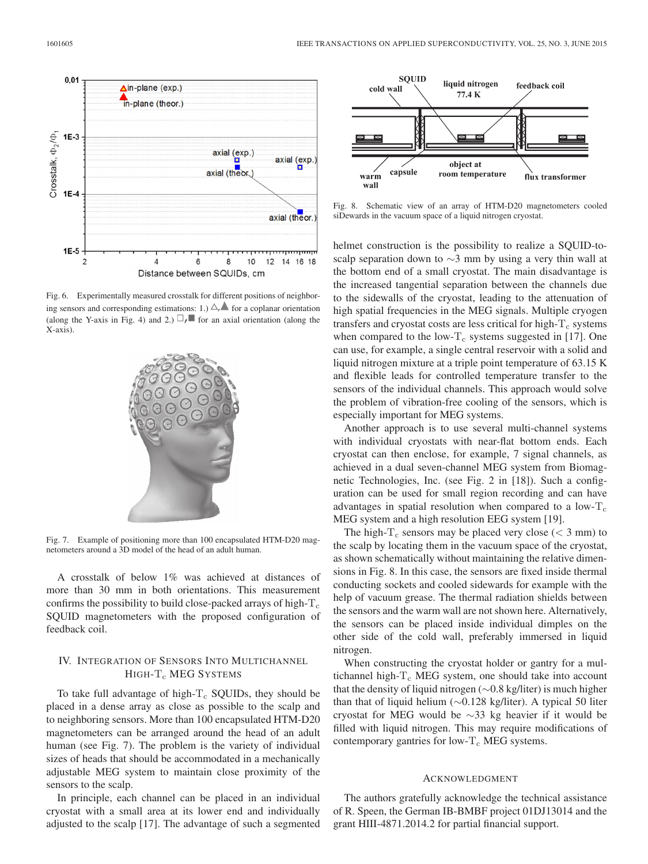

Fig. 6. Experimentally measured crosstalk for different positions of neighboring sensors and corresponding estimations: 1.)  $\Delta$  for a coplanar orientation (along the Y-axis in Fig. 4) and 2.)  $\Box$  for an axial orientation (along the X-axis).



Fig. 7. Example of positioning more than 100 encapsulated HTM-D20 magnetometers around a 3D model of the head of an adult human.

A crosstalk of below 1% was achieved at distances of more than 30 mm in both orientations. This measurement confirms the possibility to build close-packed arrays of high- $T_c$ SQUID magnetometers with the proposed configuration of feedback coil.

## IV. INTEGRATION OF SENSORS INTO MULTICHANNEL HIGH-T<sub>c</sub> MEG SYSTEMS

To take full advantage of high- $T_c$  SQUIDs, they should be placed in a dense array as close as possible to the scalp and to neighboring sensors. More than 100 encapsulated HTM-D20 magnetometers can be arranged around the head of an adult human (see Fig. 7). The problem is the variety of individual sizes of heads that should be accommodated in a mechanically adjustable MEG system to maintain close proximity of the sensors to the scalp.

In principle, each channel can be placed in an individual cryostat with a small area at its lower end and individually adjusted to the scalp [17]. The advantage of such a segmented



Fig. 8. Schematic view of an array of HTM-D20 magnetometers cooled siDewards in the vacuum space of a liquid nitrogen cryostat.

helmet construction is the possibility to realize a SQUID-toscalp separation down to ∼3 mm by using a very thin wall at the bottom end of a small cryostat. The main disadvantage is the increased tangential separation between the channels due to the sidewalls of the cryostat, leading to the attenuation of high spatial frequencies in the MEG signals. Multiple cryogen transfers and cryostat costs are less critical for high- $T_c$  systems when compared to the low- $T_c$  systems suggested in [17]. One can use, for example, a single central reservoir with a solid and liquid nitrogen mixture at a triple point temperature of 63.15 K and flexible leads for controlled temperature transfer to the sensors of the individual channels. This approach would solve the problem of vibration-free cooling of the sensors, which is especially important for MEG systems.

Another approach is to use several multi-channel systems with individual cryostats with near-flat bottom ends. Each cryostat can then enclose, for example, 7 signal channels, as achieved in a dual seven-channel MEG system from Biomagnetic Technologies, Inc. (see Fig. 2 in [18]). Such a configuration can be used for small region recording and can have advantages in spatial resolution when compared to a low- $T_c$ MEG system and a high resolution EEG system [19].

The high- $T_c$  sensors may be placed very close ( $<$  3 mm) to the scalp by locating them in the vacuum space of the cryostat, as shown schematically without maintaining the relative dimensions in Fig. 8. In this case, the sensors are fixed inside thermal conducting sockets and cooled sidewards for example with the help of vacuum grease. The thermal radiation shields between the sensors and the warm wall are not shown here. Alternatively, the sensors can be placed inside individual dimples on the other side of the cold wall, preferably immersed in liquid nitrogen.

When constructing the cryostat holder or gantry for a multichannel high- $T_c$  MEG system, one should take into account that the density of liquid nitrogen (∼0.8 kg/liter) is much higher than that of liquid helium (∼0.128 kg/liter). A typical 50 liter cryostat for MEG would be ∼33 kg heavier if it would be filled with liquid nitrogen. This may require modifications of contemporary gantries for low- $T_c$  MEG systems.

### ACKNOWLEDGMENT

The authors gratefully acknowledge the technical assistance of R. Speen, the German IB-BMBF project 01DJ13014 and the grant HIII-4871.2014.2 for partial financial support.